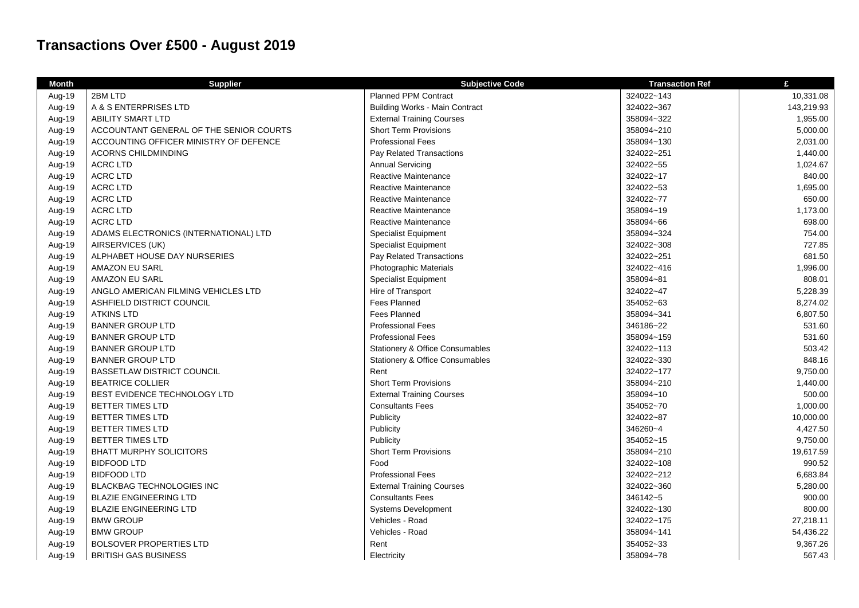## **Transactions Over £500 - August 2019**

| <b>Month</b> | <b>Supplier</b>                         | <b>Subjective Code</b>                     | <b>Transaction Ref</b> | £          |
|--------------|-----------------------------------------|--------------------------------------------|------------------------|------------|
| Aug-19       | 2BM LTD                                 | <b>Planned PPM Contract</b>                | 324022~143             | 10,331.08  |
| Aug-19       | A & S ENTERPRISES LTD                   | <b>Building Works - Main Contract</b>      | 324022~367             | 143,219.93 |
| Aug-19       | <b>ABILITY SMART LTD</b>                | <b>External Training Courses</b>           | 358094~322             | 1,955.00   |
| Aug-19       | ACCOUNTANT GENERAL OF THE SENIOR COURTS | <b>Short Term Provisions</b>               | 358094~210             | 5,000.00   |
| Aug-19       | ACCOUNTING OFFICER MINISTRY OF DEFENCE  | <b>Professional Fees</b>                   | 358094~130             | 2,031.00   |
| Aug-19       | ACORNS CHILDMINDING                     | Pay Related Transactions                   | 324022~251             | 1,440.00   |
| Aug-19       | <b>ACRC LTD</b>                         | <b>Annual Servicing</b>                    | 324022~55              | 1,024.67   |
| Aug-19       | <b>ACRC LTD</b>                         | Reactive Maintenance                       | 324022~17              | 840.00     |
| Aug-19       | <b>ACRC LTD</b>                         | Reactive Maintenance                       | 324022~53              | 1,695.00   |
| Aug-19       | <b>ACRC LTD</b>                         | Reactive Maintenance                       | 324022~77              | 650.00     |
| Aug-19       | <b>ACRC LTD</b>                         | Reactive Maintenance                       | 358094~19              | 1,173.00   |
| Aug-19       | <b>ACRC LTD</b>                         | Reactive Maintenance                       | 358094~66              | 698.00     |
| Aug-19       | ADAMS ELECTRONICS (INTERNATIONAL) LTD   | <b>Specialist Equipment</b>                | 358094~324             | 754.00     |
| Aug-19       | AIRSERVICES (UK)                        | <b>Specialist Equipment</b>                | 324022~308             | 727.85     |
| Aug-19       | ALPHABET HOUSE DAY NURSERIES            | Pay Related Transactions                   | 324022~251             | 681.50     |
| Aug-19       | AMAZON EU SARL                          | Photographic Materials                     | 324022~416             | 1,996.00   |
| Aug-19       | <b>AMAZON EU SARL</b>                   | <b>Specialist Equipment</b>                | 358094~81              | 808.01     |
| Aug-19       | ANGLO AMERICAN FILMING VEHICLES LTD     | Hire of Transport                          | 324022~47              | 5,228.39   |
| Aug-19       | ASHFIELD DISTRICT COUNCIL               | <b>Fees Planned</b>                        | 354052~63              | 8,274.02   |
| Aug-19       | <b>ATKINS LTD</b>                       | <b>Fees Planned</b>                        | 358094~341             | 6,807.50   |
| Aug-19       | <b>BANNER GROUP LTD</b>                 | <b>Professional Fees</b>                   | 346186~22              | 531.60     |
| Aug-19       | <b>BANNER GROUP LTD</b>                 | <b>Professional Fees</b>                   | 358094~159             | 531.60     |
| Aug-19       | <b>BANNER GROUP LTD</b>                 | <b>Stationery &amp; Office Consumables</b> | 324022~113             | 503.42     |
| Aug-19       | <b>BANNER GROUP LTD</b>                 | Stationery & Office Consumables            | 324022~330             | 848.16     |
| Aug-19       | <b>BASSETLAW DISTRICT COUNCIL</b>       | Rent                                       | 324022~177             | 9,750.00   |
| Aug-19       | <b>BEATRICE COLLIER</b>                 | <b>Short Term Provisions</b>               | 358094~210             | 1,440.00   |
| Aug-19       | BEST EVIDENCE TECHNOLOGY LTD            | <b>External Training Courses</b>           | 358094~10              | 500.00     |
| Aug-19       | <b>BETTER TIMES LTD</b>                 | <b>Consultants Fees</b>                    | 354052~70              | 1,000.00   |
| Aug-19       | BETTER TIMES LTD                        | Publicity                                  | 324022~87              | 10,000.00  |
| Aug-19       | <b>BETTER TIMES LTD</b>                 | Publicity                                  | 346260~4               | 4,427.50   |
| Aug-19       | BETTER TIMES LTD                        | Publicity                                  | 354052~15              | 9,750.00   |
| Aug-19       | <b>BHATT MURPHY SOLICITORS</b>          | <b>Short Term Provisions</b>               | 358094~210             | 19,617.59  |
| Aug-19       | <b>BIDFOOD LTD</b>                      | Food                                       | 324022~108             | 990.52     |
| Aug-19       | <b>BIDFOOD LTD</b>                      | <b>Professional Fees</b>                   | 324022~212             | 6,683.84   |
| Aug-19       | <b>BLACKBAG TECHNOLOGIES INC</b>        | <b>External Training Courses</b>           | 324022~360             | 5,280.00   |
| Aug-19       | <b>BLAZIE ENGINEERING LTD</b>           | <b>Consultants Fees</b>                    | 346142~5               | 900.00     |
| Aug-19       | <b>BLAZIE ENGINEERING LTD</b>           | <b>Systems Development</b>                 | 324022~130             | 800.00     |
| Aug-19       | <b>BMW GROUP</b>                        | Vehicles - Road                            | 324022~175             | 27,218.11  |
| Aug-19       | <b>BMW GROUP</b>                        | Vehicles - Road                            | 358094~141             | 54,436.22  |
| Aug-19       | <b>BOLSOVER PROPERTIES LTD</b>          | Rent                                       | 354052~33              | 9,367.26   |
| Aug-19       | <b>BRITISH GAS BUSINESS</b>             | Electricity                                | 358094~78              | 567.43     |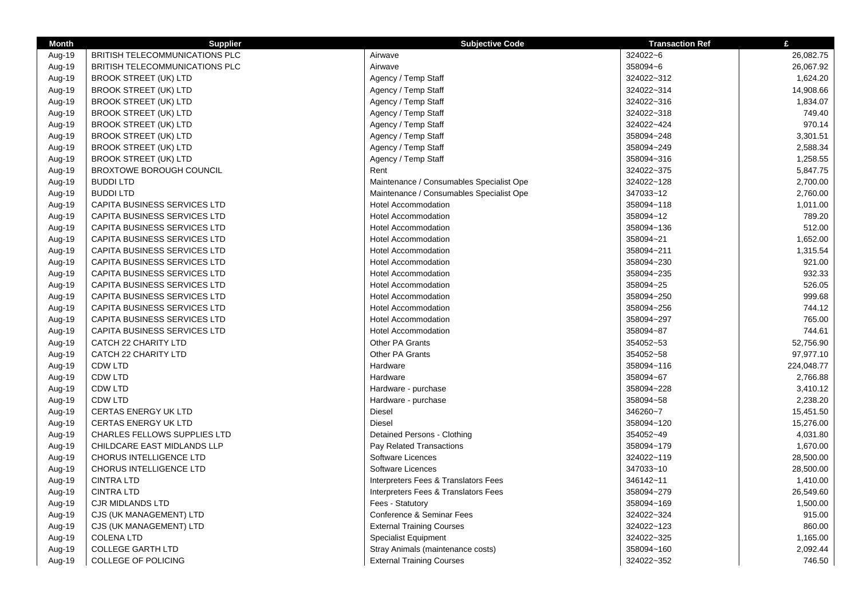| <b>Month</b> | <b>Supplier</b>                     | <b>Subjective Code</b>                   | <b>Transaction Ref</b> | £          |
|--------------|-------------------------------------|------------------------------------------|------------------------|------------|
| Aug-19       | BRITISH TELECOMMUNICATIONS PLC      | Airwave                                  | 324022~6               | 26,082.75  |
| Aug-19       | BRITISH TELECOMMUNICATIONS PLC      | Airwave                                  | 358094~6               | 26,067.92  |
| Aug-19       | <b>BROOK STREET (UK) LTD</b>        | Agency / Temp Staff                      | 324022~312             | 1,624.20   |
| Aug-19       | <b>BROOK STREET (UK) LTD</b>        | Agency / Temp Staff                      | 324022~314             | 14,908.66  |
| Aug-19       | <b>BROOK STREET (UK) LTD</b>        | Agency / Temp Staff                      | 324022~316             | 1,834.07   |
| Aug-19       | <b>BROOK STREET (UK) LTD</b>        | Agency / Temp Staff                      | 324022~318             | 749.40     |
| Aug-19       | <b>BROOK STREET (UK) LTD</b>        | Agency / Temp Staff                      | 324022~424             | 970.14     |
| Aug-19       | <b>BROOK STREET (UK) LTD</b>        | Agency / Temp Staff                      | 358094~248             | 3,301.51   |
| Aug-19       | <b>BROOK STREET (UK) LTD</b>        | Agency / Temp Staff                      | 358094~249             | 2,588.34   |
| Aug-19       | <b>BROOK STREET (UK) LTD</b>        | Agency / Temp Staff                      | 358094~316             | 1,258.55   |
| Aug-19       | BROXTOWE BOROUGH COUNCIL            | Rent                                     | 324022~375             | 5,847.75   |
| Aug-19       | <b>BUDDILTD</b>                     | Maintenance / Consumables Specialist Ope | 324022~128             | 2,700.00   |
| Aug-19       | <b>BUDDILTD</b>                     | Maintenance / Consumables Specialist Ope | 347033~12              | 2,760.00   |
| Aug-19       | CAPITA BUSINESS SERVICES LTD        | <b>Hotel Accommodation</b>               | 358094~118             | 1,011.00   |
| Aug-19       | CAPITA BUSINESS SERVICES LTD        | <b>Hotel Accommodation</b>               | 358094~12              | 789.20     |
| Aug-19       | CAPITA BUSINESS SERVICES LTD        | <b>Hotel Accommodation</b>               | 358094~136             | 512.00     |
| Aug-19       | CAPITA BUSINESS SERVICES LTD        | <b>Hotel Accommodation</b>               | 358094~21              | 1,652.00   |
| Aug-19       | CAPITA BUSINESS SERVICES LTD        | <b>Hotel Accommodation</b>               | 358094~211             | 1,315.54   |
| Aug-19       | CAPITA BUSINESS SERVICES LTD        | <b>Hotel Accommodation</b>               | 358094~230             | 921.00     |
| Aug-19       | CAPITA BUSINESS SERVICES LTD        | <b>Hotel Accommodation</b>               | 358094~235             | 932.33     |
| Aug-19       | CAPITA BUSINESS SERVICES LTD        | <b>Hotel Accommodation</b>               | 358094~25              | 526.05     |
| Aug-19       | <b>CAPITA BUSINESS SERVICES LTD</b> | <b>Hotel Accommodation</b>               | 358094~250             | 999.68     |
| Aug-19       | CAPITA BUSINESS SERVICES LTD        | <b>Hotel Accommodation</b>               | 358094~256             | 744.12     |
| Aug-19       | CAPITA BUSINESS SERVICES LTD        | <b>Hotel Accommodation</b>               | 358094~297             | 765.00     |
| Aug-19       | CAPITA BUSINESS SERVICES LTD        | <b>Hotel Accommodation</b>               | 358094~87              | 744.61     |
| Aug-19       | <b>CATCH 22 CHARITY LTD</b>         | Other PA Grants                          | 354052~53              | 52,756.90  |
| Aug-19       | <b>CATCH 22 CHARITY LTD</b>         | Other PA Grants                          | 354052~58              | 97,977.10  |
| Aug-19       | <b>CDW LTD</b>                      | Hardware                                 | 358094~116             | 224,048.77 |
| Aug-19       | <b>CDW LTD</b>                      | Hardware                                 | 358094~67              | 2,766.88   |
| Aug-19       | <b>CDW LTD</b>                      | Hardware - purchase                      | 358094~228             | 3,410.12   |
| Aug-19       | <b>CDW LTD</b>                      | Hardware - purchase                      | 358094~58              | 2,238.20   |
| Aug-19       | <b>CERTAS ENERGY UK LTD</b>         | Diesel                                   | 346260~7               | 15,451.50  |
| Aug-19       | <b>CERTAS ENERGY UK LTD</b>         | <b>Diesel</b>                            | 358094~120             | 15,276.00  |
| Aug-19       | <b>CHARLES FELLOWS SUPPLIES LTD</b> | Detained Persons - Clothing              | 354052~49              | 4,031.80   |
| Aug-19       | CHILDCARE EAST MIDLANDS LLP         | Pay Related Transactions                 | 358094~179             | 1,670.00   |
| Aug-19       | <b>CHORUS INTELLIGENCE LTD</b>      | Software Licences                        | 324022~119             | 28,500.00  |
| Aug-19       | CHORUS INTELLIGENCE LTD             | Software Licences                        | 347033~10              | 28,500.00  |
| Aug-19       | <b>CINTRA LTD</b>                   | Interpreters Fees & Translators Fees     | 346142~11              | 1,410.00   |
| Aug-19       | <b>CINTRA LTD</b>                   | Interpreters Fees & Translators Fees     | 358094~279             | 26,549.60  |
| Aug-19       | <b>CJR MIDLANDS LTD</b>             | Fees - Statutory                         | 358094~169             | 1,500.00   |
| Aug-19       | CJS (UK MANAGEMENT) LTD             | Conference & Seminar Fees                | 324022~324             | 915.00     |
| Aug-19       | CJS (UK MANAGEMENT) LTD             | <b>External Training Courses</b>         | 324022~123             | 860.00     |
| Aug-19       | <b>COLENA LTD</b>                   | <b>Specialist Equipment</b>              | 324022~325             | 1,165.00   |
| Aug-19       | <b>COLLEGE GARTH LTD</b>            | Stray Animals (maintenance costs)        | 358094~160             | 2,092.44   |
| Aug-19       | COLLEGE OF POLICING                 | <b>External Training Courses</b>         | 324022~352             | 746.50     |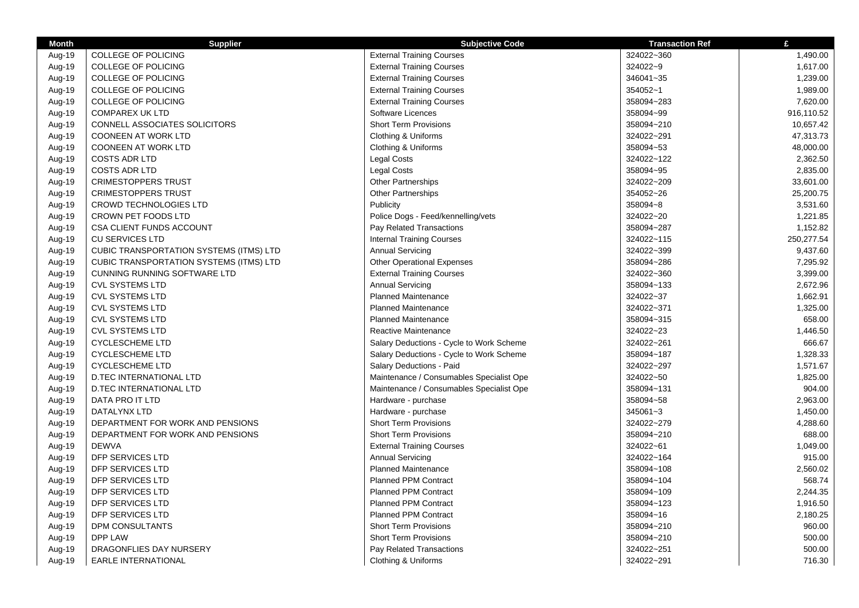| <b>Month</b> | <b>Supplier</b>                         | <b>Subjective Code</b>                   | <b>Transaction Ref</b> | £          |
|--------------|-----------------------------------------|------------------------------------------|------------------------|------------|
| Aug-19       | COLLEGE OF POLICING                     | <b>External Training Courses</b>         | 324022~360             | 1,490.00   |
| Aug-19       | COLLEGE OF POLICING                     | <b>External Training Courses</b>         | 324022~9               | 1,617.00   |
| Aug-19       | <b>COLLEGE OF POLICING</b>              | <b>External Training Courses</b>         | 346041~35              | 1,239.00   |
| Aug-19       | COLLEGE OF POLICING                     | <b>External Training Courses</b>         | 354052~1               | 1,989.00   |
| Aug-19       | COLLEGE OF POLICING                     | <b>External Training Courses</b>         | 358094~283             | 7,620.00   |
| Aug-19       | <b>COMPAREX UK LTD</b>                  | Software Licences                        | 358094~99              | 916,110.52 |
| Aug-19       | CONNELL ASSOCIATES SOLICITORS           | <b>Short Term Provisions</b>             | 358094~210             | 10,657.42  |
| Aug-19       | <b>COONEEN AT WORK LTD</b>              | Clothing & Uniforms                      | 324022~291             | 47,313.73  |
| Aug-19       | <b>COONEEN AT WORK LTD</b>              | Clothing & Uniforms                      | 358094~53              | 48,000.00  |
| Aug-19       | <b>COSTS ADR LTD</b>                    | <b>Legal Costs</b>                       | 324022~122             | 2,362.50   |
| Aug-19       | <b>COSTS ADR LTD</b>                    | <b>Legal Costs</b>                       | 358094~95              | 2,835.00   |
| Aug-19       | <b>CRIMESTOPPERS TRUST</b>              | <b>Other Partnerships</b>                | 324022~209             | 33,601.00  |
| Aug-19       | <b>CRIMESTOPPERS TRUST</b>              | <b>Other Partnerships</b>                | 354052~26              | 25,200.75  |
| Aug-19       | <b>CROWD TECHNOLOGIES LTD</b>           | Publicity                                | 358094~8               | 3,531.60   |
| Aug-19       | <b>CROWN PET FOODS LTD</b>              | Police Dogs - Feed/kennelling/vets       | 324022~20              | 1,221.85   |
| Aug-19       | <b>CSA CLIENT FUNDS ACCOUNT</b>         | Pay Related Transactions                 | 358094~287             | 1,152.82   |
| Aug-19       | <b>CU SERVICES LTD</b>                  | <b>Internal Training Courses</b>         | 324022~115             | 250,277.54 |
| Aug-19       | CUBIC TRANSPORTATION SYSTEMS (ITMS) LTD | <b>Annual Servicing</b>                  | 324022~399             | 9,437.60   |
| Aug-19       | CUBIC TRANSPORTATION SYSTEMS (ITMS) LTD | <b>Other Operational Expenses</b>        | 358094~286             | 7,295.92   |
| Aug-19       | <b>CUNNING RUNNING SOFTWARE LTD</b>     | <b>External Training Courses</b>         | 324022~360             | 3,399.00   |
| Aug-19       | <b>CVL SYSTEMS LTD</b>                  | <b>Annual Servicing</b>                  | 358094~133             | 2,672.96   |
| Aug-19       | <b>CVL SYSTEMS LTD</b>                  | <b>Planned Maintenance</b>               | 324022~37              | 1,662.91   |
| Aug-19       | <b>CVL SYSTEMS LTD</b>                  | <b>Planned Maintenance</b>               | 324022~371             | 1,325.00   |
| Aug-19       | <b>CVL SYSTEMS LTD</b>                  | <b>Planned Maintenance</b>               | 358094~315             | 658.00     |
| Aug-19       | <b>CVL SYSTEMS LTD</b>                  | <b>Reactive Maintenance</b>              | 324022~23              | 1,446.50   |
| Aug-19       | <b>CYCLESCHEME LTD</b>                  | Salary Deductions - Cycle to Work Scheme | 324022~261             | 666.67     |
| Aug-19       | <b>CYCLESCHEME LTD</b>                  | Salary Deductions - Cycle to Work Scheme | 358094~187             | 1,328.33   |
| Aug-19       | <b>CYCLESCHEME LTD</b>                  | Salary Deductions - Paid                 | 324022~297             | 1,571.67   |
| Aug-19       | D.TEC INTERNATIONAL LTD                 | Maintenance / Consumables Specialist Ope | 324022~50              | 1,825.00   |
| Aug-19       | <b>D.TEC INTERNATIONAL LTD</b>          | Maintenance / Consumables Specialist Ope | 358094~131             | 904.00     |
| Aug-19       | DATA PRO IT LTD                         | Hardware - purchase                      | 358094~58              | 2,963.00   |
| Aug-19       | DATALYNX LTD                            | Hardware - purchase                      | 345061~3               | 1,450.00   |
| Aug-19       | DEPARTMENT FOR WORK AND PENSIONS        | <b>Short Term Provisions</b>             | 324022~279             | 4,288.60   |
| Aug-19       | DEPARTMENT FOR WORK AND PENSIONS        | <b>Short Term Provisions</b>             | 358094~210             | 688.00     |
| Aug-19       | <b>DEWVA</b>                            | <b>External Training Courses</b>         | 324022~61              | 1,049.00   |
| Aug-19       | DFP SERVICES LTD                        | <b>Annual Servicing</b>                  | 324022~164             | 915.00     |
| Aug-19       | DFP SERVICES LTD                        | <b>Planned Maintenance</b>               | 358094~108             | 2,560.02   |
| Aug-19       | DFP SERVICES LTD                        | <b>Planned PPM Contract</b>              | 358094~104             | 568.74     |
| Aug-19       | DFP SERVICES LTD                        | <b>Planned PPM Contract</b>              | 358094~109             | 2,244.35   |
| Aug-19       | DFP SERVICES LTD                        | <b>Planned PPM Contract</b>              | 358094~123             | 1,916.50   |
| Aug-19       | DFP SERVICES LTD                        | <b>Planned PPM Contract</b>              | 358094~16              | 2,180.25   |
| Aug-19       | DPM CONSULTANTS                         | <b>Short Term Provisions</b>             | 358094~210             | 960.00     |
| Aug-19       | <b>DPP LAW</b>                          | <b>Short Term Provisions</b>             | 358094~210             | 500.00     |
| Aug-19       | DRAGONFLIES DAY NURSERY                 | <b>Pay Related Transactions</b>          | 324022~251             | 500.00     |
| Aug-19       | <b>EARLE INTERNATIONAL</b>              | Clothing & Uniforms                      | 324022~291             | 716.30     |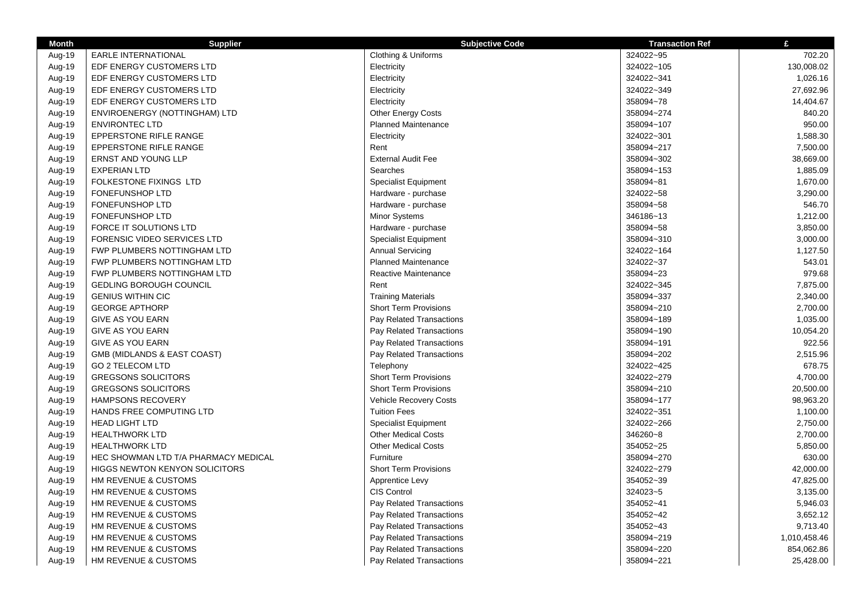| <b>Month</b> | <b>Supplier</b>                       | <b>Subjective Code</b>       | <b>Transaction Ref</b> | £            |
|--------------|---------------------------------------|------------------------------|------------------------|--------------|
| Aug-19       | <b>EARLE INTERNATIONAL</b>            | Clothing & Uniforms          | 324022~95              | 702.20       |
| Aug-19       | EDF ENERGY CUSTOMERS LTD              | Electricity                  | 324022~105             | 130,008.02   |
| Aug-19       | EDF ENERGY CUSTOMERS LTD              | Electricity                  | 324022~341             | 1,026.16     |
| Aug-19       | EDF ENERGY CUSTOMERS LTD              | Electricity                  | 324022~349             | 27.692.96    |
| Aug-19       | EDF ENERGY CUSTOMERS LTD              | Electricity                  | 358094~78              | 14,404.67    |
| Aug-19       | ENVIROENERGY (NOTTINGHAM) LTD         | <b>Other Energy Costs</b>    | 358094~274             | 840.20       |
| Aug-19       | <b>ENVIRONTEC LTD</b>                 | <b>Planned Maintenance</b>   | 358094~107             | 950.00       |
| Aug-19       | EPPERSTONE RIFLE RANGE                | Electricity                  | 324022~301             | 1,588.30     |
| Aug-19       | <b>EPPERSTONE RIFLE RANGE</b>         | Rent                         | 358094~217             | 7,500.00     |
| Aug-19       | <b>ERNST AND YOUNG LLP</b>            | <b>External Audit Fee</b>    | 358094~302             | 38,669.00    |
| Aug-19       | <b>EXPERIAN LTD</b>                   | Searches                     | 358094~153             | 1,885.09     |
| Aug-19       | FOLKESTONE FIXINGS LTD                | <b>Specialist Equipment</b>  | 358094~81              | 1,670.00     |
| Aug-19       | <b>FONEFUNSHOP LTD</b>                | Hardware - purchase          | 324022~58              | 3,290.00     |
| Aug-19       | <b>FONEFUNSHOP LTD</b>                | Hardware - purchase          | 358094~58              | 546.70       |
| Aug-19       | <b>FONEFUNSHOP LTD</b>                | <b>Minor Systems</b>         | 346186~13              | 1,212.00     |
| Aug-19       | FORCE IT SOLUTIONS LTD                | Hardware - purchase          | 358094~58              | 3,850.00     |
| Aug-19       | FORENSIC VIDEO SERVICES LTD           | <b>Specialist Equipment</b>  | 358094~310             | 3,000.00     |
| Aug-19       | FWP PLUMBERS NOTTINGHAM LTD           | <b>Annual Servicing</b>      | 324022~164             | 1,127.50     |
| Aug-19       | FWP PLUMBERS NOTTINGHAM LTD           | <b>Planned Maintenance</b>   | 324022~37              | 543.01       |
| Aug-19       | FWP PLUMBERS NOTTINGHAM LTD           | Reactive Maintenance         | 358094~23              | 979.68       |
| Aug-19       | <b>GEDLING BOROUGH COUNCIL</b>        | Rent                         | 324022~345             | 7,875.00     |
| Aug-19       | <b>GENIUS WITHIN CIC</b>              | <b>Training Materials</b>    | 358094~337             | 2,340.00     |
| Aug-19       | <b>GEORGE APTHORP</b>                 | <b>Short Term Provisions</b> | 358094~210             | 2,700.00     |
| Aug-19       | <b>GIVE AS YOU EARN</b>               | Pay Related Transactions     | 358094~189             | 1,035.00     |
| Aug-19       | <b>GIVE AS YOU EARN</b>               | Pay Related Transactions     | 358094~190             | 10,054.20    |
| Aug-19       | <b>GIVE AS YOU EARN</b>               | Pay Related Transactions     | 358094~191             | 922.56       |
| Aug-19       | GMB (MIDLANDS & EAST COAST)           | Pay Related Transactions     | 358094~202             | 2,515.96     |
| Aug-19       | <b>GO 2 TELECOM LTD</b>               | Telephony                    | 324022~425             | 678.75       |
| Aug-19       | <b>GREGSONS SOLICITORS</b>            | <b>Short Term Provisions</b> | 324022~279             | 4,700.00     |
| Aug-19       | <b>GREGSONS SOLICITORS</b>            | <b>Short Term Provisions</b> | 358094~210             | 20,500.00    |
| Aug-19       | <b>HAMPSONS RECOVERY</b>              | Vehicle Recovery Costs       | 358094~177             | 98,963.20    |
| Aug-19       | HANDS FREE COMPUTING LTD              | <b>Tuition Fees</b>          | 324022~351             | 1,100.00     |
| Aug-19       | <b>HEAD LIGHT LTD</b>                 | <b>Specialist Equipment</b>  | 324022~266             | 2,750.00     |
| Aug-19       | <b>HEALTHWORK LTD</b>                 | <b>Other Medical Costs</b>   | 346260~8               | 2,700.00     |
| Aug-19       | <b>HEALTHWORK LTD</b>                 | <b>Other Medical Costs</b>   | 354052~25              | 5,850.00     |
| Aug-19       | HEC SHOWMAN LTD T/A PHARMACY MEDICAL  | Furniture                    | 358094~270             | 630.00       |
| Aug-19       | <b>HIGGS NEWTON KENYON SOLICITORS</b> | <b>Short Term Provisions</b> | 324022~279             | 42,000.00    |
| Aug-19       | HM REVENUE & CUSTOMS                  | Apprentice Levy              | 354052~39              | 47,825.00    |
| Aug-19       | HM REVENUE & CUSTOMS                  | CIS Control                  | 324023~5               | 3,135.00     |
| Aug-19       | HM REVENUE & CUSTOMS                  | Pay Related Transactions     | 354052~41              | 5,946.03     |
| Aug-19       | HM REVENUE & CUSTOMS                  | Pay Related Transactions     | 354052~42              | 3,652.12     |
| Aug-19       | HM REVENUE & CUSTOMS                  | Pay Related Transactions     | 354052~43              | 9,713.40     |
| Aug-19       | HM REVENUE & CUSTOMS                  | Pay Related Transactions     | 358094~219             | 1,010,458.46 |
| Aug-19       | HM REVENUE & CUSTOMS                  | Pay Related Transactions     | 358094~220             | 854,062.86   |
| Aug-19       | HM REVENUE & CUSTOMS                  | Pay Related Transactions     | 358094~221             | 25,428.00    |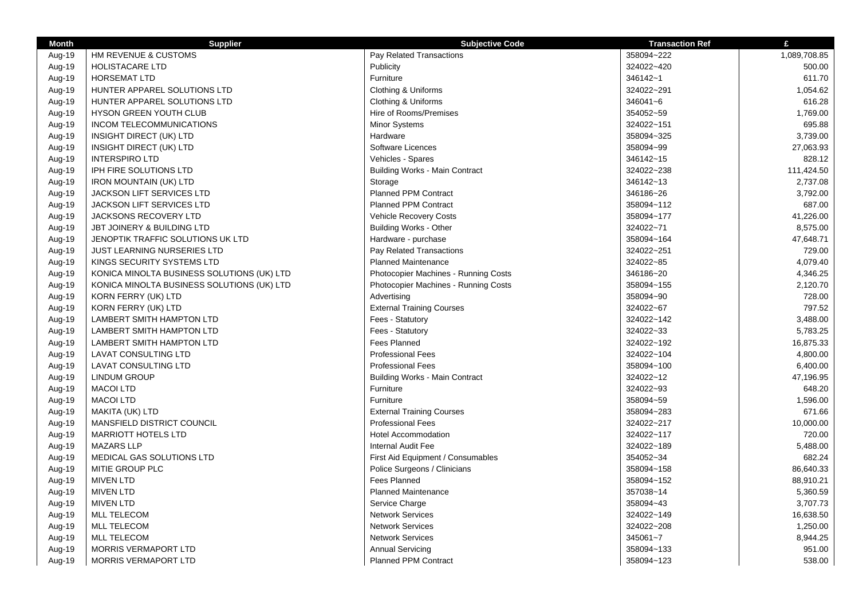| <b>Month</b> | <b>Supplier</b>                            | <b>Subjective Code</b>                | <b>Transaction Ref</b> | £            |
|--------------|--------------------------------------------|---------------------------------------|------------------------|--------------|
| Aug-19       | HM REVENUE & CUSTOMS                       | Pay Related Transactions              | 358094~222             | 1,089,708.85 |
| Aug-19       | <b>HOLISTACARE LTD</b>                     | Publicity                             | 324022~420             | 500.00       |
| Aug-19       | <b>HORSEMAT LTD</b>                        | Furniture                             | 346142~1               | 611.70       |
| Aug-19       | HUNTER APPAREL SOLUTIONS LTD               | Clothing & Uniforms                   | 324022~291             | 1,054.62     |
| Aug-19       | HUNTER APPAREL SOLUTIONS LTD               | Clothing & Uniforms                   | 346041~6               | 616.28       |
| Aug-19       | HYSON GREEN YOUTH CLUB                     | Hire of Rooms/Premises                | 354052~59              | 1,769.00     |
| Aug-19       | INCOM TELECOMMUNICATIONS                   | Minor Systems                         | 324022~151             | 695.88       |
| Aug-19       | INSIGHT DIRECT (UK) LTD                    | Hardware                              | 358094~325             | 3,739.00     |
| Aug-19       | INSIGHT DIRECT (UK) LTD                    | Software Licences                     | 358094~99              | 27,063.93    |
| Aug-19       | <b>INTERSPIRO LTD</b>                      | Vehicles - Spares                     | 346142~15              | 828.12       |
| Aug-19       | IPH FIRE SOLUTIONS LTD                     | <b>Building Works - Main Contract</b> | 324022~238             | 111,424.50   |
| Aug-19       | <b>IRON MOUNTAIN (UK) LTD</b>              | Storage                               | 346142~13              | 2,737.08     |
| Aug-19       | JACKSON LIFT SERVICES LTD                  | Planned PPM Contract                  | 346186~26              | 3,792.00     |
| Aug-19       | JACKSON LIFT SERVICES LTD                  | <b>Planned PPM Contract</b>           | 358094~112             | 687.00       |
| Aug-19       | JACKSONS RECOVERY LTD                      | <b>Vehicle Recovery Costs</b>         | 358094~177             | 41,226.00    |
| Aug-19       | JBT JOINERY & BUILDING LTD                 | <b>Building Works - Other</b>         | 324022~71              | 8,575.00     |
| Aug-19       | JENOPTIK TRAFFIC SOLUTIONS UK LTD          | Hardware - purchase                   | 358094~164             | 47,648.71    |
| Aug-19       | JUST LEARNING NURSERIES LTD                | Pay Related Transactions              | 324022~251             | 729.00       |
| Aug-19       | KINGS SECURITY SYSTEMS LTD                 | <b>Planned Maintenance</b>            | 324022~85              | 4,079.40     |
| Aug-19       | KONICA MINOLTA BUSINESS SOLUTIONS (UK) LTD | Photocopier Machines - Running Costs  | 346186~20              | 4,346.25     |
| Aug-19       | KONICA MINOLTA BUSINESS SOLUTIONS (UK) LTD | Photocopier Machines - Running Costs  | 358094~155             | 2,120.70     |
| Aug-19       | KORN FERRY (UK) LTD                        | Advertising                           | 358094~90              | 728.00       |
| Aug-19       | KORN FERRY (UK) LTD                        | <b>External Training Courses</b>      | 324022~67              | 797.52       |
| Aug-19       | LAMBERT SMITH HAMPTON LTD                  | Fees - Statutory                      | 324022~142             | 3,488.00     |
| Aug-19       | LAMBERT SMITH HAMPTON LTD                  | Fees - Statutory                      | 324022~33              | 5,783.25     |
| Aug-19       | LAMBERT SMITH HAMPTON LTD                  | <b>Fees Planned</b>                   | 324022~192             | 16,875.33    |
| Aug-19       | <b>LAVAT CONSULTING LTD</b>                | <b>Professional Fees</b>              | 324022~104             | 4,800.00     |
| Aug-19       | <b>LAVAT CONSULTING LTD</b>                | <b>Professional Fees</b>              | 358094~100             | 6,400.00     |
| Aug-19       | <b>LINDUM GROUP</b>                        | <b>Building Works - Main Contract</b> | 324022~12              | 47,196.95    |
| Aug-19       | <b>MACOI LTD</b>                           | Furniture                             | 324022~93              | 648.20       |
| Aug-19       | <b>MACOI LTD</b>                           | Furniture                             | 358094~59              | 1,596.00     |
| Aug-19       | MAKITA (UK) LTD                            | <b>External Training Courses</b>      | 358094~283             | 671.66       |
| Aug-19       | MANSFIELD DISTRICT COUNCIL                 | <b>Professional Fees</b>              | 324022~217             | 10,000.00    |
| Aug-19       | <b>MARRIOTT HOTELS LTD</b>                 | <b>Hotel Accommodation</b>            | 324022~117             | 720.00       |
| Aug-19       | <b>MAZARS LLP</b>                          | Internal Audit Fee                    | 324022~189             | 5,488.00     |
| Aug-19       | MEDICAL GAS SOLUTIONS LTD                  | First Aid Equipment / Consumables     | 354052~34              | 682.24       |
| Aug-19       | MITIE GROUP PLC                            | Police Surgeons / Clinicians          | 358094~158             | 86,640.33    |
| Aug-19       | <b>MIVEN LTD</b>                           | <b>Fees Planned</b>                   | 358094~152             | 88,910.21    |
| Aug-19       | <b>MIVEN LTD</b>                           | <b>Planned Maintenance</b>            | 357038~14              | 5,360.59     |
| Aug-19       | <b>MIVEN LTD</b>                           | Service Charge                        | 358094~43              | 3,707.73     |
| Aug-19       | <b>MLL TELECOM</b>                         | <b>Network Services</b>               | 324022~149             | 16,638.50    |
| Aug-19       | <b>MLL TELECOM</b>                         | <b>Network Services</b>               | 324022~208             | 1,250.00     |
| Aug-19       | <b>MLL TELECOM</b>                         | <b>Network Services</b>               | 345061~7               | 8,944.25     |
| Aug-19       | <b>MORRIS VERMAPORT LTD</b>                | <b>Annual Servicing</b>               | 358094~133             | 951.00       |
| Aug-19       | MORRIS VERMAPORT LTD                       | <b>Planned PPM Contract</b>           | 358094~123             | 538.00       |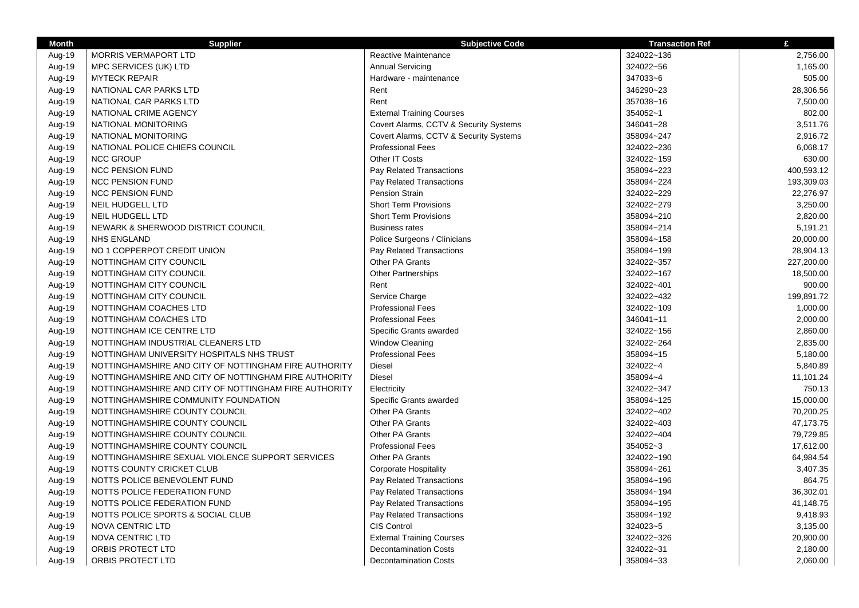| <b>Month</b> | <b>Supplier</b>                                       | <b>Subjective Code</b>                 | <b>Transaction Ref</b> | £          |
|--------------|-------------------------------------------------------|----------------------------------------|------------------------|------------|
| Aug-19       | MORRIS VERMAPORT LTD                                  | Reactive Maintenance                   | 324022~136             | 2,756.00   |
| Aug-19       | MPC SERVICES (UK) LTD                                 | <b>Annual Servicing</b>                | 324022~56              | 1,165.00   |
| Aug-19       | <b>MYTECK REPAIR</b>                                  | Hardware - maintenance                 | 347033~6               | 505.00     |
| Aug-19       | NATIONAL CAR PARKS LTD                                | Rent                                   | 346290~23              | 28,306.56  |
| Aug-19       | NATIONAL CAR PARKS LTD                                | Rent                                   | 357038~16              | 7,500.00   |
| Aug-19       | NATIONAL CRIME AGENCY                                 | <b>External Training Courses</b>       | 354052~1               | 802.00     |
| Aug-19       | NATIONAL MONITORING                                   | Covert Alarms, CCTV & Security Systems | 346041~28              | 3,511.76   |
| Aug-19       | NATIONAL MONITORING                                   | Covert Alarms, CCTV & Security Systems | 358094~247             | 2,916.72   |
| Aug-19       | NATIONAL POLICE CHIEFS COUNCIL                        | <b>Professional Fees</b>               | 324022~236             | 6,068.17   |
| Aug-19       | <b>NCC GROUP</b>                                      | Other IT Costs                         | 324022~159             | 630.00     |
| Aug-19       | <b>NCC PENSION FUND</b>                               | Pay Related Transactions               | 358094~223             | 400,593.12 |
| Aug-19       | <b>NCC PENSION FUND</b>                               | Pay Related Transactions               | 358094~224             | 193,309.03 |
| Aug-19       | <b>NCC PENSION FUND</b>                               | <b>Pension Strain</b>                  | 324022~229             | 22,276.97  |
| Aug-19       | <b>NEIL HUDGELL LTD</b>                               | <b>Short Term Provisions</b>           | 324022~279             | 3,250.00   |
| Aug-19       | <b>NEIL HUDGELL LTD</b>                               | <b>Short Term Provisions</b>           | 358094~210             | 2,820.00   |
| Aug-19       | NEWARK & SHERWOOD DISTRICT COUNCIL                    | <b>Business rates</b>                  | 358094~214             | 5,191.21   |
| Aug-19       | <b>NHS ENGLAND</b>                                    | Police Surgeons / Clinicians           | 358094~158             | 20,000.00  |
| Aug-19       | NO 1 COPPERPOT CREDIT UNION                           | Pay Related Transactions               | 358094~199             | 28,904.13  |
| Aug-19       | NOTTINGHAM CITY COUNCIL                               | Other PA Grants                        | 324022~357             | 227,200.00 |
| Aug-19       | NOTTINGHAM CITY COUNCIL                               | <b>Other Partnerships</b>              | 324022~167             | 18,500.00  |
| Aug-19       | NOTTINGHAM CITY COUNCIL                               | Rent                                   | 324022~401             | 900.00     |
| Aug-19       | NOTTINGHAM CITY COUNCIL                               | Service Charge                         | 324022~432             | 199,891.72 |
| Aug-19       | NOTTINGHAM COACHES LTD                                | <b>Professional Fees</b>               | 324022~109             | 1,000.00   |
| Aug-19       | NOTTINGHAM COACHES LTD                                | <b>Professional Fees</b>               | 346041~11              | 2,000.00   |
| Aug-19       | NOTTINGHAM ICE CENTRE LTD                             | Specific Grants awarded                | 324022~156             | 2,860.00   |
| Aug-19       | NOTTINGHAM INDUSTRIAL CLEANERS LTD                    | Window Cleaning                        | 324022~264             | 2,835.00   |
| Aug-19       | NOTTINGHAM UNIVERSITY HOSPITALS NHS TRUST             | <b>Professional Fees</b>               | 358094~15              | 5,180.00   |
| Aug-19       | NOTTINGHAMSHIRE AND CITY OF NOTTINGHAM FIRE AUTHORITY | Diesel                                 | 324022~4               | 5,840.89   |
| Aug-19       | NOTTINGHAMSHIRE AND CITY OF NOTTINGHAM FIRE AUTHORITY | Diesel                                 | 358094~4               | 11,101.24  |
| Aug-19       | NOTTINGHAMSHIRE AND CITY OF NOTTINGHAM FIRE AUTHORITY | Electricity                            | 324022~347             | 750.13     |
| Aug-19       | NOTTINGHAMSHIRE COMMUNITY FOUNDATION                  | Specific Grants awarded                | 358094~125             | 15,000.00  |
| Aug-19       | NOTTINGHAMSHIRE COUNTY COUNCIL                        | Other PA Grants                        | 324022~402             | 70,200.25  |
| Aug-19       | NOTTINGHAMSHIRE COUNTY COUNCIL                        | Other PA Grants                        | 324022~403             | 47,173.75  |
| Aug-19       | NOTTINGHAMSHIRE COUNTY COUNCIL                        | Other PA Grants                        | 324022~404             | 79,729.85  |
| Aug-19       | NOTTINGHAMSHIRE COUNTY COUNCIL                        | <b>Professional Fees</b>               | 354052~3               | 17,612.00  |
| Aug-19       | NOTTINGHAMSHIRE SEXUAL VIOLENCE SUPPORT SERVICES      | Other PA Grants                        | 324022~190             | 64,984.54  |
| Aug-19       | NOTTS COUNTY CRICKET CLUB                             | <b>Corporate Hospitality</b>           | 358094~261             | 3,407.35   |
| Aug-19       | NOTTS POLICE BENEVOLENT FUND                          | Pay Related Transactions               | 358094~196             | 864.75     |
| Aug-19       | NOTTS POLICE FEDERATION FUND                          | Pay Related Transactions               | 358094~194             | 36,302.01  |
| Aug-19       | NOTTS POLICE FEDERATION FUND                          | Pay Related Transactions               | 358094~195             | 41,148.75  |
| Aug-19       | NOTTS POLICE SPORTS & SOCIAL CLUB                     | Pay Related Transactions               | 358094~192             | 9,418.93   |
| Aug-19       | <b>NOVA CENTRIC LTD</b>                               | <b>CIS Control</b>                     | 324023~5               | 3,135.00   |
| Aug-19       | NOVA CENTRIC LTD                                      | <b>External Training Courses</b>       | 324022~326             | 20,900.00  |
| Aug-19       | ORBIS PROTECT LTD                                     | <b>Decontamination Costs</b>           | 324022~31              | 2,180.00   |
| Aug-19       | ORBIS PROTECT LTD                                     | <b>Decontamination Costs</b>           | 358094~33              | 2,060.00   |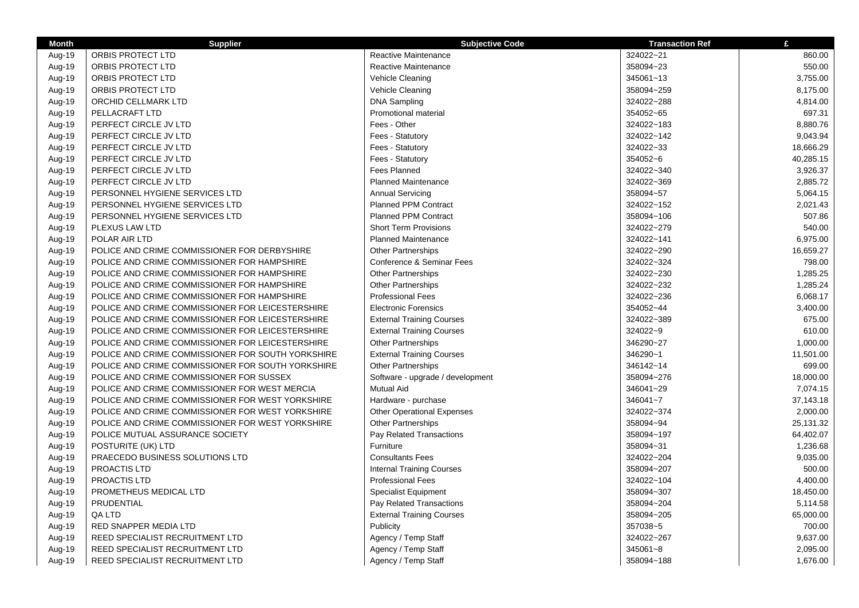| <b>Month</b> | <b>Supplier</b>                                   | <b>Subjective Code</b>            | <b>Transaction Ref</b> | £         |
|--------------|---------------------------------------------------|-----------------------------------|------------------------|-----------|
| Aug-19       | ORBIS PROTECT LTD                                 | Reactive Maintenance              | 324022~21              | 860.00    |
| Aug-19       | ORBIS PROTECT LTD                                 | <b>Reactive Maintenance</b>       | 358094~23              | 550.00    |
| Aug-19       | ORBIS PROTECT LTD                                 | Vehicle Cleaning                  | 345061~13              | 3,755.00  |
| Aug-19       | ORBIS PROTECT LTD                                 | Vehicle Cleaning                  | 358094~259             | 8,175.00  |
| Aug-19       | ORCHID CELLMARK LTD                               | <b>DNA Sampling</b>               | 324022~288             | 4,814.00  |
| Aug-19       | PELLACRAFT LTD                                    | <b>Promotional material</b>       | 354052~65              | 697.31    |
| Aug-19       | PERFECT CIRCLE JV LTD                             | Fees - Other                      | 324022~183             | 8,880.76  |
| Aug-19       | PERFECT CIRCLE JV LTD                             | Fees - Statutory                  | 324022~142             | 9,043.94  |
| Aug-19       | PERFECT CIRCLE JV LTD                             | Fees - Statutory                  | 324022~33              | 18,666.29 |
| Aug-19       | PERFECT CIRCLE JV LTD                             | Fees - Statutory                  | 354052~6               | 40,285.15 |
| Aug-19       | PERFECT CIRCLE JV LTD                             | <b>Fees Planned</b>               | 324022~340             | 3,926.37  |
| Aug-19       | PERFECT CIRCLE JV LTD                             | <b>Planned Maintenance</b>        | 324022~369             | 2,885.72  |
| Aug-19       | PERSONNEL HYGIENE SERVICES LTD                    | <b>Annual Servicing</b>           | 358094~57              | 5,064.15  |
| Aug-19       | PERSONNEL HYGIENE SERVICES LTD                    | <b>Planned PPM Contract</b>       | 324022~152             | 2,021.43  |
| Aug-19       | PERSONNEL HYGIENE SERVICES LTD                    | <b>Planned PPM Contract</b>       | 358094~106             | 507.86    |
| Aug-19       | PLEXUS LAW LTD                                    | <b>Short Term Provisions</b>      | 324022~279             | 540.00    |
| Aug-19       | POLAR AIR LTD                                     | <b>Planned Maintenance</b>        | 324022~141             | 6,975.00  |
| Aug-19       | POLICE AND CRIME COMMISSIONER FOR DERBYSHIRE      | <b>Other Partnerships</b>         | 324022~290             | 16,659.27 |
| Aug-19       | POLICE AND CRIME COMMISSIONER FOR HAMPSHIRE       | Conference & Seminar Fees         | 324022~324             | 798.00    |
| Aug-19       | POLICE AND CRIME COMMISSIONER FOR HAMPSHIRE       | <b>Other Partnerships</b>         | 324022~230             | 1,285.25  |
| Aug-19       | POLICE AND CRIME COMMISSIONER FOR HAMPSHIRE       | <b>Other Partnerships</b>         | 324022~232             | 1,285.24  |
| Aug-19       | POLICE AND CRIME COMMISSIONER FOR HAMPSHIRE       | <b>Professional Fees</b>          | 324022~236             | 6,068.17  |
| Aug-19       | POLICE AND CRIME COMMISSIONER FOR LEICESTERSHIRE  | <b>Electronic Forensics</b>       | 354052~44              | 3,400.00  |
| Aug-19       | POLICE AND CRIME COMMISSIONER FOR LEICESTERSHIRE  | <b>External Training Courses</b>  | 324022~389             | 675.00    |
| Aug-19       | POLICE AND CRIME COMMISSIONER FOR LEICESTERSHIRE  | <b>External Training Courses</b>  | 324022~9               | 610.00    |
| Aug-19       | POLICE AND CRIME COMMISSIONER FOR LEICESTERSHIRE  | <b>Other Partnerships</b>         | 346290~27              | 1,000.00  |
| Aug-19       | POLICE AND CRIME COMMISSIONER FOR SOUTH YORKSHIRE | <b>External Training Courses</b>  | 346290~1               | 11,501.00 |
| Aug-19       | POLICE AND CRIME COMMISSIONER FOR SOUTH YORKSHIRE | <b>Other Partnerships</b>         | 346142~14              | 699.00    |
| Aug-19       | POLICE AND CRIME COMMISSIONER FOR SUSSEX          | Software - upgrade / development  | 358094~276             | 18,000.00 |
| Aug-19       | POLICE AND CRIME COMMISSIONER FOR WEST MERCIA     | <b>Mutual Aid</b>                 | 346041~29              | 7,074.15  |
| Aug-19       | POLICE AND CRIME COMMISSIONER FOR WEST YORKSHIRE  | Hardware - purchase               | 346041~7               | 37,143.18 |
| Aug-19       | POLICE AND CRIME COMMISSIONER FOR WEST YORKSHIRE  | <b>Other Operational Expenses</b> | 324022~374             | 2,000.00  |
| Aug-19       | POLICE AND CRIME COMMISSIONER FOR WEST YORKSHIRE  | <b>Other Partnerships</b>         | 358094~94              | 25,131.32 |
| Aug-19       | POLICE MUTUAL ASSURANCE SOCIETY                   | Pay Related Transactions          | 358094~197             | 64,402.07 |
| Aug-19       | POSTURITE (UK) LTD                                | Furniture                         | 358094~31              | 1,236.68  |
| Aug-19       | PRAECEDO BUSINESS SOLUTIONS LTD                   | <b>Consultants Fees</b>           | 324022~204             | 9,035.00  |
| Aug-19       | PROACTIS LTD                                      | <b>Internal Training Courses</b>  | 358094~207             | 500.00    |
| Aug-19       | PROACTIS LTD                                      | <b>Professional Fees</b>          | 324022~104             | 4,400.00  |
| Aug-19       | PROMETHEUS MEDICAL LTD                            | <b>Specialist Equipment</b>       | 358094~307             | 18,450.00 |
| Aug-19       | PRUDENTIAL                                        | Pay Related Transactions          | 358094~204             | 5,114.58  |
| Aug-19       | QA LTD                                            | <b>External Training Courses</b>  | 358094~205             | 65,000.00 |
| Aug-19       | RED SNAPPER MEDIA LTD                             | Publicity                         | 357038~5               | 700.00    |
| Aug-19       | REED SPECIALIST RECRUITMENT LTD                   | Agency / Temp Staff               | 324022~267             | 9,637.00  |
| Aug-19       | REED SPECIALIST RECRUITMENT LTD                   | Agency / Temp Staff               | 345061~8               | 2,095.00  |
| Aug-19       | REED SPECIALIST RECRUITMENT LTD                   | Agency / Temp Staff               | 358094~188             | 1,676.00  |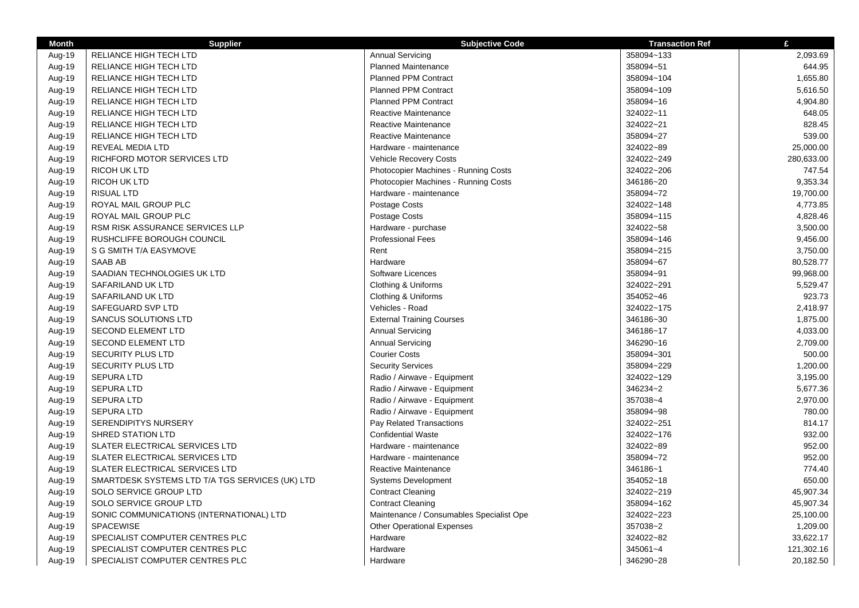| <b>Month</b> | <b>Supplier</b>                                 | <b>Subjective Code</b>                   | <b>Transaction Ref</b> | £          |
|--------------|-------------------------------------------------|------------------------------------------|------------------------|------------|
| Aug-19       | RELIANCE HIGH TECH LTD                          | <b>Annual Servicing</b>                  | 358094~133             | 2,093.69   |
| Aug-19       | RELIANCE HIGH TECH LTD                          | <b>Planned Maintenance</b>               | 358094~51              | 644.95     |
| Aug-19       | RELIANCE HIGH TECH LTD                          | <b>Planned PPM Contract</b>              | 358094~104             | 1,655.80   |
| Aug-19       | RELIANCE HIGH TECH LTD                          | <b>Planned PPM Contract</b>              | 358094~109             | 5,616.50   |
| Aug-19       | RELIANCE HIGH TECH LTD                          | <b>Planned PPM Contract</b>              | 358094~16              | 4,904.80   |
| Aug-19       | RELIANCE HIGH TECH LTD                          | Reactive Maintenance                     | 324022~11              | 648.05     |
| Aug-19       | RELIANCE HIGH TECH LTD                          | Reactive Maintenance                     | 324022~21              | 828.45     |
| Aug-19       | RELIANCE HIGH TECH LTD                          | Reactive Maintenance                     | 358094~27              | 539.00     |
| Aug-19       | REVEAL MEDIA LTD                                | Hardware - maintenance                   | 324022~89              | 25,000.00  |
| Aug-19       | RICHFORD MOTOR SERVICES LTD                     | <b>Vehicle Recovery Costs</b>            | 324022~249             | 280,633.00 |
| Aug-19       | <b>RICOH UK LTD</b>                             | Photocopier Machines - Running Costs     | 324022~206             | 747.54     |
| Aug-19       | RICOH UK LTD                                    | Photocopier Machines - Running Costs     | 346186~20              | 9,353.34   |
| Aug-19       | <b>RISUAL LTD</b>                               | Hardware - maintenance                   | 358094~72              | 19,700.00  |
| Aug-19       | ROYAL MAIL GROUP PLC                            | Postage Costs                            | 324022~148             | 4,773.85   |
| Aug-19       | ROYAL MAIL GROUP PLC                            | Postage Costs                            | 358094~115             | 4,828.46   |
| Aug-19       | <b>RSM RISK ASSURANCE SERVICES LLP</b>          | Hardware - purchase                      | 324022~58              | 3,500.00   |
| Aug-19       | RUSHCLIFFE BOROUGH COUNCIL                      | <b>Professional Fees</b>                 | 358094~146             | 9,456.00   |
| Aug-19       | S G SMITH T/A EASYMOVE                          | Rent                                     | 358094~215             | 3,750.00   |
| Aug-19       | SAAB AB                                         | Hardware                                 | 358094~67              | 80,528.77  |
| Aug-19       | SAADIAN TECHNOLOGIES UK LTD                     | Software Licences                        | 358094~91              | 99,968.00  |
| Aug-19       | SAFARILAND UK LTD                               | Clothing & Uniforms                      | 324022~291             | 5,529.47   |
| Aug-19       | SAFARILAND UK LTD                               | Clothing & Uniforms                      | 354052~46              | 923.73     |
| Aug-19       | SAFEGUARD SVP LTD                               | Vehicles - Road                          | 324022~175             | 2,418.97   |
| Aug-19       | <b>SANCUS SOLUTIONS LTD</b>                     | <b>External Training Courses</b>         | 346186~30              | 1,875.00   |
| Aug-19       | <b>SECOND ELEMENT LTD</b>                       | <b>Annual Servicing</b>                  | 346186~17              | 4,033.00   |
| Aug-19       | <b>SECOND ELEMENT LTD</b>                       | <b>Annual Servicing</b>                  | 346290~16              | 2,709.00   |
| Aug-19       | <b>SECURITY PLUS LTD</b>                        | <b>Courier Costs</b>                     | 358094~301             | 500.00     |
| Aug-19       | <b>SECURITY PLUS LTD</b>                        | <b>Security Services</b>                 | 358094~229             | 1,200.00   |
| Aug-19       | <b>SEPURA LTD</b>                               | Radio / Airwave - Equipment              | 324022~129             | 3,195.00   |
| Aug-19       | <b>SEPURA LTD</b>                               | Radio / Airwave - Equipment              | 346234~2               | 5,677.36   |
| Aug-19       | <b>SEPURA LTD</b>                               | Radio / Airwave - Equipment              | 357038~4               | 2,970.00   |
| Aug-19       | <b>SEPURA LTD</b>                               | Radio / Airwave - Equipment              | 358094~98              | 780.00     |
| Aug-19       | <b>SERENDIPITYS NURSERY</b>                     | Pay Related Transactions                 | 324022~251             | 814.17     |
| Aug-19       | <b>SHRED STATION LTD</b>                        | <b>Confidential Waste</b>                | 324022~176             | 932.00     |
| Aug-19       | SLATER ELECTRICAL SERVICES LTD                  | Hardware - maintenance                   | 324022~89              | 952.00     |
| Aug-19       | SLATER ELECTRICAL SERVICES LTD                  | Hardware - maintenance                   | 358094~72              | 952.00     |
| Aug-19       | SLATER ELECTRICAL SERVICES LTD                  | Reactive Maintenance                     | 346186~1               | 774.40     |
| Aug-19       | SMARTDESK SYSTEMS LTD T/A TGS SERVICES (UK) LTD | <b>Systems Development</b>               | 354052~18              | 650.00     |
| Aug-19       | SOLO SERVICE GROUP LTD                          | <b>Contract Cleaning</b>                 | 324022~219             | 45,907.34  |
| Aug-19       | SOLO SERVICE GROUP LTD                          | <b>Contract Cleaning</b>                 | 358094~162             | 45,907.34  |
| Aug-19       | SONIC COMMUNICATIONS (INTERNATIONAL) LTD        | Maintenance / Consumables Specialist Ope | 324022~223             | 25,100.00  |
| Aug-19       | <b>SPACEWISE</b>                                | <b>Other Operational Expenses</b>        | 357038~2               | 1,209.00   |
| Aug-19       | SPECIALIST COMPUTER CENTRES PLC                 | Hardware                                 | 324022~82              | 33,622.17  |
| Aug-19       | SPECIALIST COMPUTER CENTRES PLC                 | Hardware                                 | 345061~4               | 121,302.16 |
| Aug-19       | SPECIALIST COMPUTER CENTRES PLC                 | Hardware                                 | 346290~28              | 20,182.50  |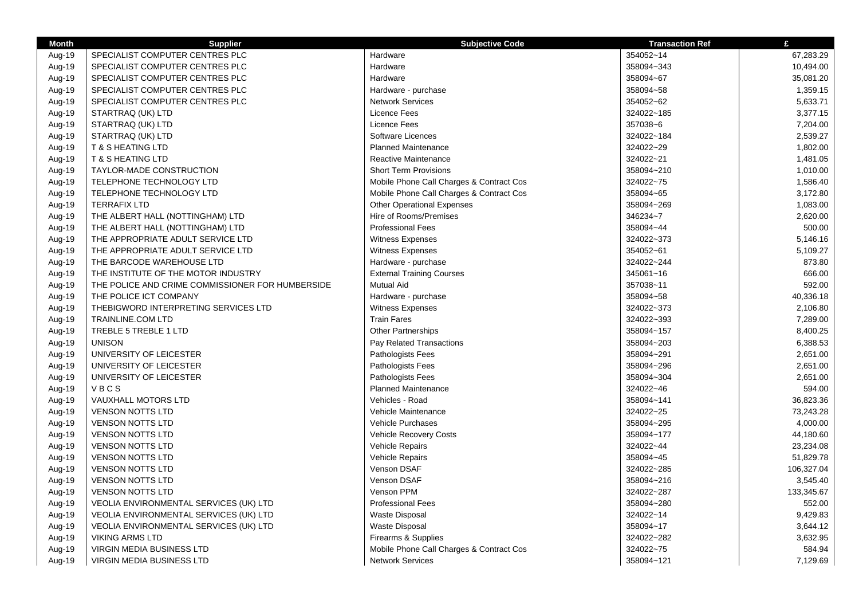| <b>Month</b> | <b>Supplier</b>                                  | <b>Subjective Code</b>                   | <b>Transaction Ref</b> | £          |
|--------------|--------------------------------------------------|------------------------------------------|------------------------|------------|
| Aug-19       | SPECIALIST COMPUTER CENTRES PLC                  | Hardware                                 | 354052~14              | 67,283.29  |
| Aug-19       | SPECIALIST COMPUTER CENTRES PLC                  | Hardware                                 | 358094~343             | 10,494.00  |
| Aug-19       | SPECIALIST COMPUTER CENTRES PLC                  | Hardware                                 | 358094~67              | 35,081.20  |
| Aug-19       | SPECIALIST COMPUTER CENTRES PLC                  | Hardware - purchase                      | 358094~58              | 1,359.15   |
| Aug-19       | SPECIALIST COMPUTER CENTRES PLC                  | <b>Network Services</b>                  | 354052~62              | 5,633.71   |
| Aug-19       | STARTRAQ (UK) LTD                                | <b>Licence Fees</b>                      | 324022~185             | 3,377.15   |
| Aug-19       | STARTRAQ (UK) LTD                                | <b>Licence Fees</b>                      | 357038~6               | 7,204.00   |
| Aug-19       | STARTRAQ (UK) LTD                                | Software Licences                        | 324022~184             | 2,539.27   |
| Aug-19       | <b>T &amp; S HEATING LTD</b>                     | <b>Planned Maintenance</b>               | 324022~29              | 1,802.00   |
| Aug-19       | <b>T &amp; S HEATING LTD</b>                     | Reactive Maintenance                     | 324022~21              | 1,481.05   |
| Aug-19       | TAYLOR-MADE CONSTRUCTION                         | <b>Short Term Provisions</b>             | 358094~210             | 1,010.00   |
| Aug-19       | TELEPHONE TECHNOLOGY LTD                         | Mobile Phone Call Charges & Contract Cos | 324022~75              | 1,586.40   |
| Aug-19       | TELEPHONE TECHNOLOGY LTD                         | Mobile Phone Call Charges & Contract Cos | 358094~65              | 3,172.80   |
| Aug-19       | <b>TERRAFIX LTD</b>                              | <b>Other Operational Expenses</b>        | 358094~269             | 1,083.00   |
| Aug-19       | THE ALBERT HALL (NOTTINGHAM) LTD                 | Hire of Rooms/Premises                   | 346234~7               | 2,620.00   |
| Aug-19       | THE ALBERT HALL (NOTTINGHAM) LTD                 | <b>Professional Fees</b>                 | 358094~44              | 500.00     |
| Aug-19       | THE APPROPRIATE ADULT SERVICE LTD                | Witness Expenses                         | 324022~373             | 5,146.16   |
| Aug-19       | THE APPROPRIATE ADULT SERVICE LTD                | Witness Expenses                         | 354052~61              | 5,109.27   |
| Aug-19       | THE BARCODE WAREHOUSE LTD                        | Hardware - purchase                      | 324022~244             | 873.80     |
| Aug-19       | THE INSTITUTE OF THE MOTOR INDUSTRY              | <b>External Training Courses</b>         | 345061~16              | 666.00     |
| Aug-19       | THE POLICE AND CRIME COMMISSIONER FOR HUMBERSIDE | <b>Mutual Aid</b>                        | 357038~11              | 592.00     |
| Aug-19       | THE POLICE ICT COMPANY                           | Hardware - purchase                      | 358094~58              | 40,336.18  |
| Aug-19       | THEBIGWORD INTERPRETING SERVICES LTD             | <b>Witness Expenses</b>                  | 324022~373             | 2,106.80   |
| Aug-19       | <b>TRAINLINE.COM LTD</b>                         | <b>Train Fares</b>                       | 324022~393             | 7,289.00   |
| Aug-19       | TREBLE 5 TREBLE 1 LTD                            | <b>Other Partnerships</b>                | 358094~157             | 8,400.25   |
| Aug-19       | <b>UNISON</b>                                    | Pay Related Transactions                 | 358094~203             | 6,388.53   |
| Aug-19       | UNIVERSITY OF LEICESTER                          | Pathologists Fees                        | 358094~291             | 2,651.00   |
| Aug-19       | UNIVERSITY OF LEICESTER                          | Pathologists Fees                        | 358094~296             | 2,651.00   |
| Aug-19       | UNIVERSITY OF LEICESTER                          | Pathologists Fees                        | 358094~304             | 2,651.00   |
| Aug-19       | VBCS                                             | <b>Planned Maintenance</b>               | 324022~46              | 594.00     |
| Aug-19       | VAUXHALL MOTORS LTD                              | Vehicles - Road                          | 358094~141             | 36,823.36  |
| Aug-19       | <b>VENSON NOTTS LTD</b>                          | Vehicle Maintenance                      | 324022~25              | 73,243.28  |
| Aug-19       | <b>VENSON NOTTS LTD</b>                          | <b>Vehicle Purchases</b>                 | 358094~295             | 4,000.00   |
| Aug-19       | <b>VENSON NOTTS LTD</b>                          | <b>Vehicle Recovery Costs</b>            | 358094~177             | 44,180.60  |
| Aug-19       | <b>VENSON NOTTS LTD</b>                          | <b>Vehicle Repairs</b>                   | 324022~44              | 23,234.08  |
| Aug-19       | <b>VENSON NOTTS LTD</b>                          | Vehicle Repairs                          | 358094~45              | 51,829.78  |
| Aug-19       | <b>VENSON NOTTS LTD</b>                          | Venson DSAF                              | 324022~285             | 106,327.04 |
| Aug-19       | <b>VENSON NOTTS LTD</b>                          | <b>Venson DSAF</b>                       | 358094~216             | 3,545.40   |
| Aug-19       | <b>VENSON NOTTS LTD</b>                          | Venson PPM                               | 324022~287             | 133,345.67 |
| Aug-19       | VEOLIA ENVIRONMENTAL SERVICES (UK) LTD           | <b>Professional Fees</b>                 | 358094~280             | 552.00     |
| Aug-19       | VEOLIA ENVIRONMENTAL SERVICES (UK) LTD           | <b>Waste Disposal</b>                    | 324022~14              | 9,429.83   |
| Aug-19       | VEOLIA ENVIRONMENTAL SERVICES (UK) LTD           | Waste Disposal                           | 358094~17              | 3,644.12   |
| Aug-19       | <b>VIKING ARMS LTD</b>                           | Firearms & Supplies                      | 324022~282             | 3,632.95   |
| Aug-19       | <b>VIRGIN MEDIA BUSINESS LTD</b>                 | Mobile Phone Call Charges & Contract Cos | 324022~75              | 584.94     |
| Aug-19       | <b>VIRGIN MEDIA BUSINESS LTD</b>                 | <b>Network Services</b>                  | 358094~121             | 7,129.69   |